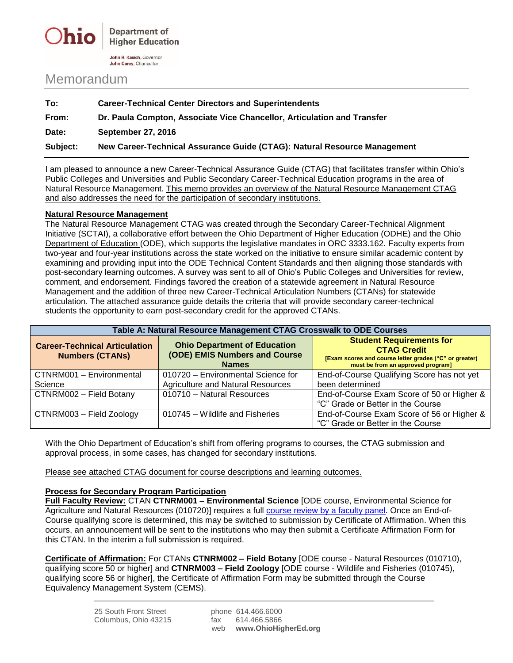

## Memorandum

| To:      | <b>Career-Technical Center Directors and Superintendents</b>             |
|----------|--------------------------------------------------------------------------|
| From:    | Dr. Paula Compton, Associate Vice Chancellor, Articulation and Transfer  |
| Date:    | <b>September 27, 2016</b>                                                |
| Subject: | New Career-Technical Assurance Guide (CTAG): Natural Resource Management |

I am pleased to announce a new Career-Technical Assurance Guide (CTAG) that facilitates transfer within Ohio's Public Colleges and Universities and Public Secondary Career-Technical Education programs in the area of Natural Resource Management. This memo provides an overview of the Natural Resource Management CTAG and also addresses the need for the participation of secondary institutions.

## **Natural Resource Management**

The Natural Resource Management CTAG was created through the Secondary Career-Technical Alignment Initiative (SCTAI), a collaborative effort between the Ohio Department of Higher Education (ODHE) and the Ohio Department of Education (ODE), which supports the legislative mandates in ORC 3333.162. Faculty experts from two-year and four-year institutions across the state worked on the initiative to ensure similar academic content by examining and providing input into the ODE Technical Content Standards and then aligning those standards with post-secondary learning outcomes. A survey was sent to all of Ohio's Public Colleges and Universities for review, comment, and endorsement. Findings favored the creation of a statewide agreement in Natural Resource Management and the addition of three new Career-Technical Articulation Numbers (CTANs) for statewide articulation. The attached assurance guide details the criteria that will provide secondary career-technical students the opportunity to earn post-secondary credit for the approved CTANs.

| Table A: Natural Resource Management CTAG Crosswalk to ODE Courses |                                                                                      |                                                                                                                                                      |  |
|--------------------------------------------------------------------|--------------------------------------------------------------------------------------|------------------------------------------------------------------------------------------------------------------------------------------------------|--|
| <b>Career-Technical Articulation</b><br><b>Numbers (CTANs)</b>     | <b>Ohio Department of Education</b><br>(ODE) EMIS Numbers and Course<br><b>Names</b> | <b>Student Requirements for</b><br><b>CTAG Credit</b><br>[Exam scores and course letter grades ("C" or greater)<br>must be from an approved program] |  |
| CTNRM001 - Environmental<br>Science                                | 010720 - Environmental Science for<br><b>Agriculture and Natural Resources</b>       | End-of-Course Qualifying Score has not yet<br>been determined                                                                                        |  |
| CTNRM002 - Field Botany                                            | 010710 - Natural Resources                                                           | End-of-Course Exam Score of 50 or Higher &<br>"C" Grade or Better in the Course                                                                      |  |
| CTNRM003 - Field Zoology                                           | 010745 – Wildlife and Fisheries                                                      | End-of-Course Exam Score of 56 or Higher &<br>"C" Grade or Better in the Course                                                                      |  |

With the Ohio Department of Education's shift from offering programs to courses, the CTAG submission and approval process, in some cases, has changed for secondary institutions.

Please see attached CTAG document for course descriptions and learning outcomes.

## **Process for Secondary Program Participation**

**Full Faculty Review:** CTAN **CTNRM001 – Environmental Science** [ODE course, Environmental Science for Agriculture and Natural Resources (010720)] requires a full [course review by a faculty panel.](https://www.ohiohighered.org/sites/ohiohighered.org/files/uploads/transfer/CT2/SCTAI_submissionmodel.pdf) Once an End-of-Course qualifying score is determined, this may be switched to submission by Certificate of Affirmation. When this occurs, an announcement will be sent to the institutions who may then submit a Certificate Affirmation Form for this CTAN. In the interim a full submission is required.

**Certificate of Affirmation:** For CTANs **CTNRM002 – Field Botany** [ODE course - Natural Resources (010710), qualifying score 50 or higher] and **CTNRM003 – Field Zoology** [ODE course - Wildlife and Fisheries (010745), qualifying score 56 or higher], the Certificate of Affirmation Form may be submitted through the Course Equivalency Management System (CEMS).